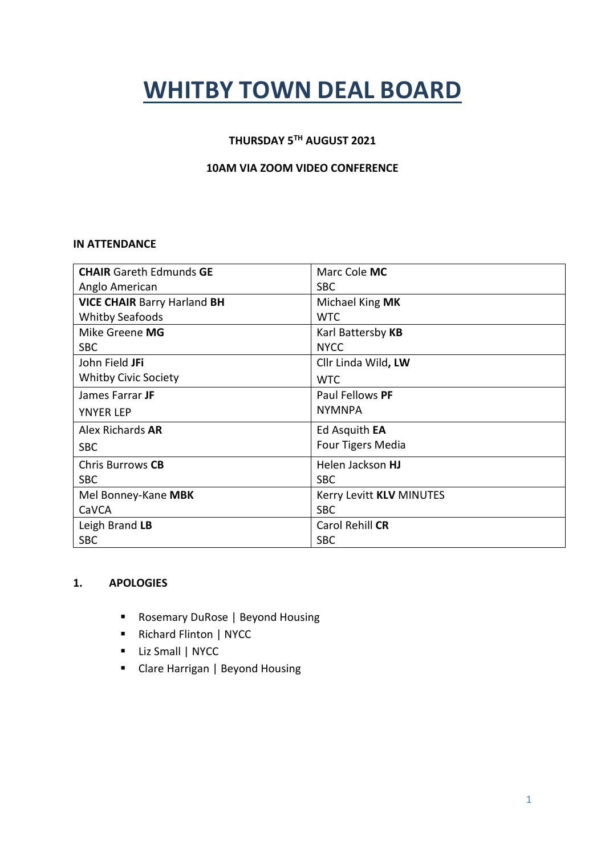# **WHITBY TOWN DEAL BOARD**

# **THURSDAY 5TH AUGUST 2021**

# **10AM VIA ZOOM VIDEO CONFERENCE**

#### **IN ATTENDANCE**

| <b>CHAIR</b> Gareth Edmunds <b>GE</b> | Marc Cole MC             |
|---------------------------------------|--------------------------|
| Anglo American                        | <b>SBC</b>               |
| <b>VICE CHAIR Barry Harland BH</b>    | Michael King MK          |
| <b>Whitby Seafoods</b>                | <b>WTC</b>               |
| Mike Greene MG                        | Karl Battersby KB        |
| <b>SBC</b>                            | <b>NYCC</b>              |
| John Field JFi                        | Cllr Linda Wild, LW      |
| <b>Whitby Civic Society</b>           | <b>WTC</b>               |
| James Farrar JF                       | Paul Fellows PF          |
| <b>YNYER LEP</b>                      | <b>NYMNPA</b>            |
| Alex Richards AR                      | Ed Asquith <b>EA</b>     |
| <b>SBC</b>                            | Four Tigers Media        |
| Chris Burrows CB                      | Helen Jackson HJ         |
| <b>SBC</b>                            | <b>SBC</b>               |
| Mel Bonney-Kane MBK                   | Kerry Levitt KLV MINUTES |
| CaVCA                                 | <b>SBC</b>               |
| Leigh Brand LB                        | Carol Rehill CR          |
| <b>SBC</b>                            | <b>SBC</b>               |

#### **1. APOLOGIES**

- Rosemary DuRose | Beyond Housing
- Richard Flinton | NYCC
- **Liz Small | NYCC**
- Clare Harrigan | Beyond Housing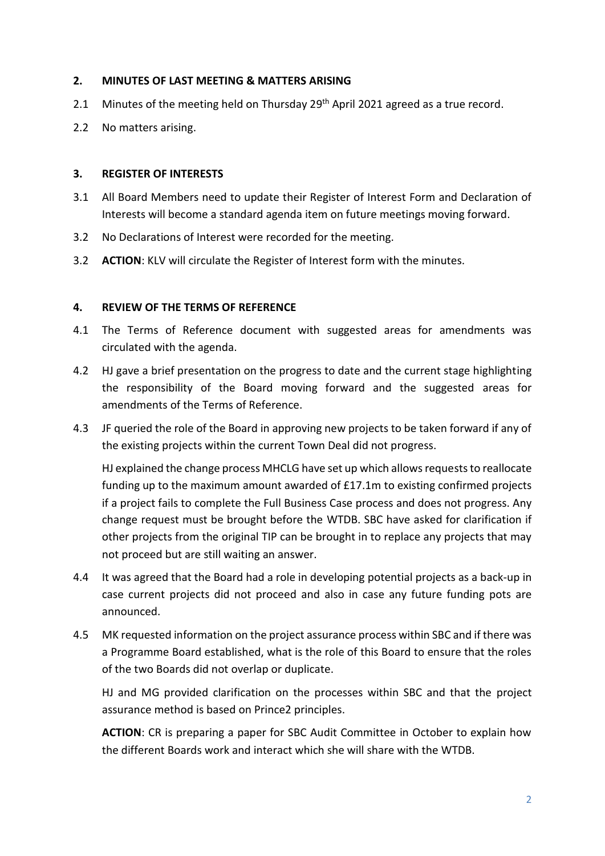# **2. MINUTES OF LAST MEETING & MATTERS ARISING**

- 2.1 Minutes of the meeting held on Thursday 29<sup>th</sup> April 2021 agreed as a true record.
- 2.2 No matters arising.

#### **3. REGISTER OF INTERESTS**

- 3.1 All Board Members need to update their Register of Interest Form and Declaration of Interests will become a standard agenda item on future meetings moving forward.
- 3.2 No Declarations of Interest were recorded for the meeting.
- 3.2 **ACTION**: KLV will circulate the Register of Interest form with the minutes.

# **4. REVIEW OF THE TERMS OF REFERENCE**

- 4.1 The Terms of Reference document with suggested areas for amendments was circulated with the agenda.
- 4.2 HJ gave a brief presentation on the progress to date and the current stage highlighting the responsibility of the Board moving forward and the suggested areas for amendments of the Terms of Reference.
- 4.3 JF queried the role of the Board in approving new projects to be taken forward if any of the existing projects within the current Town Deal did not progress.

HJ explained the change process MHCLG have set up which allows requests to reallocate funding up to the maximum amount awarded of £17.1m to existing confirmed projects if a project fails to complete the Full Business Case process and does not progress. Any change request must be brought before the WTDB. SBC have asked for clarification if other projects from the original TIP can be brought in to replace any projects that may not proceed but are still waiting an answer.

- 4.4 It was agreed that the Board had a role in developing potential projects as a back-up in case current projects did not proceed and also in case any future funding pots are announced.
- 4.5 MK requested information on the project assurance process within SBC and if there was a Programme Board established, what is the role of this Board to ensure that the roles of the two Boards did not overlap or duplicate.

HJ and MG provided clarification on the processes within SBC and that the project assurance method is based on Prince2 principles.

**ACTION**: CR is preparing a paper for SBC Audit Committee in October to explain how the different Boards work and interact which she will share with the WTDB.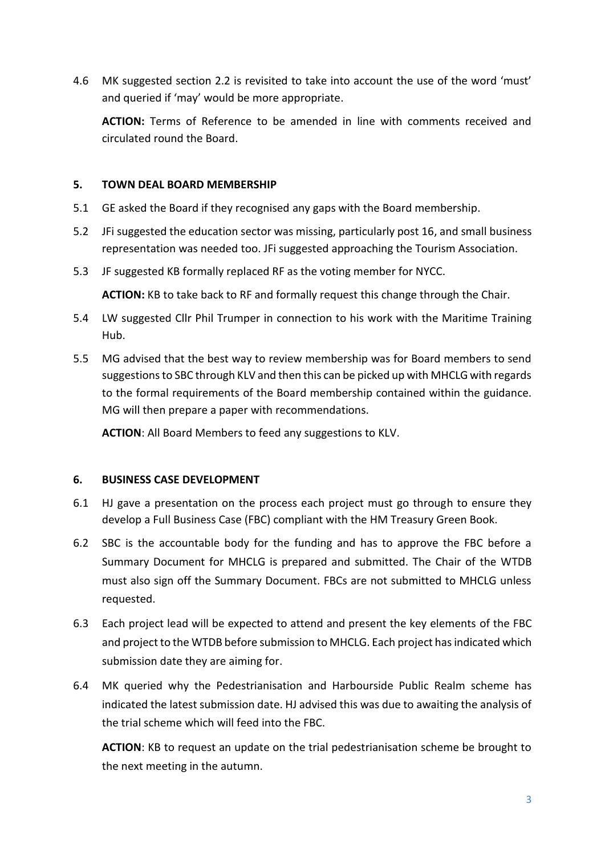4.6 MK suggested section 2.2 is revisited to take into account the use of the word 'must' and queried if 'may' would be more appropriate.

**ACTION:** Terms of Reference to be amended in line with comments received and circulated round the Board.

# **5. TOWN DEAL BOARD MEMBERSHIP**

- 5.1 GE asked the Board if they recognised any gaps with the Board membership.
- 5.2 JFi suggested the education sector was missing, particularly post 16, and small business representation was needed too. JFi suggested approaching the Tourism Association.
- 5.3 JF suggested KB formally replaced RF as the voting member for NYCC.

**ACTION:** KB to take back to RF and formally request this change through the Chair.

- 5.4 LW suggested Cllr Phil Trumper in connection to his work with the Maritime Training Hub.
- 5.5 MG advised that the best way to review membership was for Board members to send suggestions to SBC through KLV and then this can be picked up with MHCLG with regards to the formal requirements of the Board membership contained within the guidance. MG will then prepare a paper with recommendations.

**ACTION**: All Board Members to feed any suggestions to KLV.

#### **6. BUSINESS CASE DEVELOPMENT**

- 6.1 HJ gave a presentation on the process each project must go through to ensure they develop a Full Business Case (FBC) compliant with the HM Treasury Green Book.
- 6.2 SBC is the accountable body for the funding and has to approve the FBC before a Summary Document for MHCLG is prepared and submitted. The Chair of the WTDB must also sign off the Summary Document. FBCs are not submitted to MHCLG unless requested.
- 6.3 Each project lead will be expected to attend and present the key elements of the FBC and project to the WTDB before submission to MHCLG. Each project has indicated which submission date they are aiming for.
- 6.4 MK queried why the Pedestrianisation and Harbourside Public Realm scheme has indicated the latest submission date. HJ advised this was due to awaiting the analysis of the trial scheme which will feed into the FBC.

**ACTION**: KB to request an update on the trial pedestrianisation scheme be brought to the next meeting in the autumn.